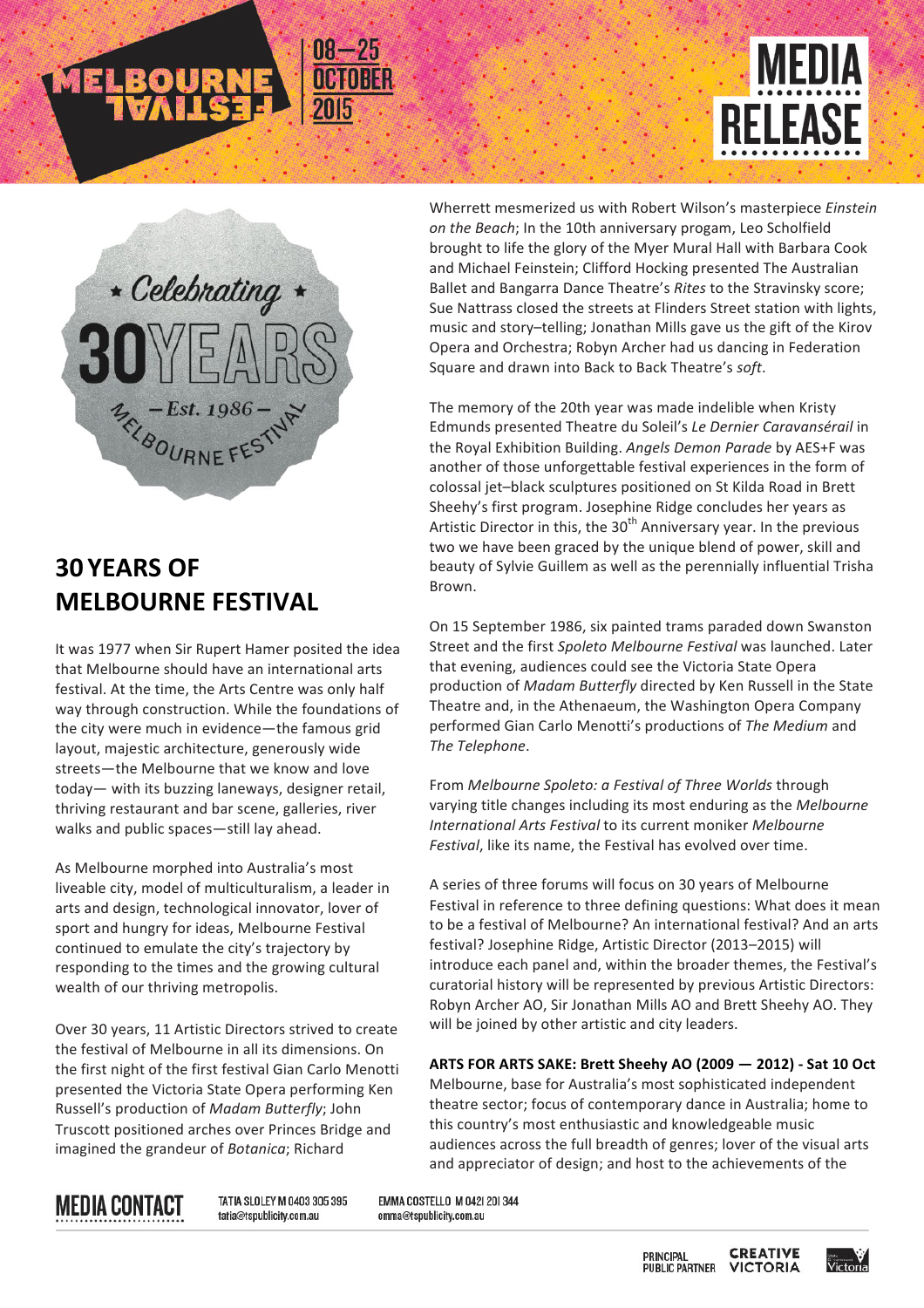



# **30 YEARS OF MELBOURNE FESTIVAL**

It was 1977 when Sir Rupert Hamer posited the idea that Melbourne should have an international arts festival. At the time, the Arts Centre was only half way through construction. While the foundations of the city were much in evidence-the famous grid layout, majestic architecture, generously wide streets—the Melbourne that we know and love today— with its buzzing laneways, designer retail, thriving restaurant and bar scene, galleries, river walks and public spaces-still lay ahead.

As Melbourne morphed into Australia's most liveable city, model of multiculturalism, a leader in arts and design, technological innovator, lover of sport and hungry for ideas, Melbourne Festival continued to emulate the city's trajectory by responding to the times and the growing cultural wealth of our thriving metropolis.

Over 30 years, 11 Artistic Directors strived to create the festival of Melbourne in all its dimensions. On the first night of the first festival Gian Carlo Menotti presented the Victoria State Opera performing Ken Russell's production of *Madam Butterfly*; John Truscott positioned arches over Princes Bridge and imagined the grandeur of *Botanica*; Richard

Wherrett mesmerized us with Robert Wilson's masterpiece *Einstein* on the Beach; In the 10th anniversary progam, Leo Scholfield brought to life the glory of the Myer Mural Hall with Barbara Cook and Michael Feinstein; Clifford Hocking presented The Australian Ballet and Bangarra Dance Theatre's *Rites* to the Stravinsky score; Sue Nattrass closed the streets at Flinders Street station with lights, music and story-telling; Jonathan Mills gave us the gift of the Kirov Opera and Orchestra; Robyn Archer had us dancing in Federation Square and drawn into Back to Back Theatre's soft.

The memory of the 20th year was made indelible when Kristy Edmunds presented Theatre du Soleil's *Le Dernier Caravansérail* in the Royal Exhibition Building. Angels Demon Parade by AES+F was another of those unforgettable festival experiences in the form of colossal jet-black sculptures positioned on St Kilda Road in Brett Sheehy's first program. Josephine Ridge concludes her years as Artistic Director in this, the  $30<sup>th</sup>$  Anniversary year. In the previous two we have been graced by the unique blend of power, skill and beauty of Sylvie Guillem as well as the perennially influential Trisha Brown.

On 15 September 1986, six painted trams paraded down Swanston Street and the first Spoleto Melbourne Festival was launched. Later that evening, audiences could see the Victoria State Opera production of *Madam Butterfly* directed by Ken Russell in the State Theatre and, in the Athenaeum, the Washington Opera Company performed Gian Carlo Menotti's productions of The Medium and *The Telephone*.

From *Melbourne Spoleto: a Festival of Three Worlds* through varying title changes including its most enduring as the *Melbourne International Arts Festival to its current moniker Melbourne Festival*, like its name, the Festival has evolved over time.

A series of three forums will focus on 30 years of Melbourne Festival in reference to three defining questions: What does it mean to be a festival of Melbourne? An international festival? And an arts festival? Josephine Ridge, Artistic Director (2013–2015) will introduce each panel and, within the broader themes, the Festival's curatorial history will be represented by previous Artistic Directors: Robyn Archer AO, Sir Jonathan Mills AO and Brett Sheehy AO. They will be joined by other artistic and city leaders.

**ARTS FOR ARTS SAKE: Brett Sheehy AO (2009 — 2012) - Sat 10 Oct** Melbourne, base for Australia's most sophisticated independent theatre sector; focus of contemporary dance in Australia; home to this country's most enthusiastic and knowledgeable music audiences across the full breadth of genres; lover of the visual arts and appreciator of design; and host to the achievements of the

# **MEDIA CONTACT**

TATIA SLOLEY M 0403 305 395 tatia@tspublicity.com.au

EMMA COSTELLO M 0421 201344 emma@tspublicity.com.au